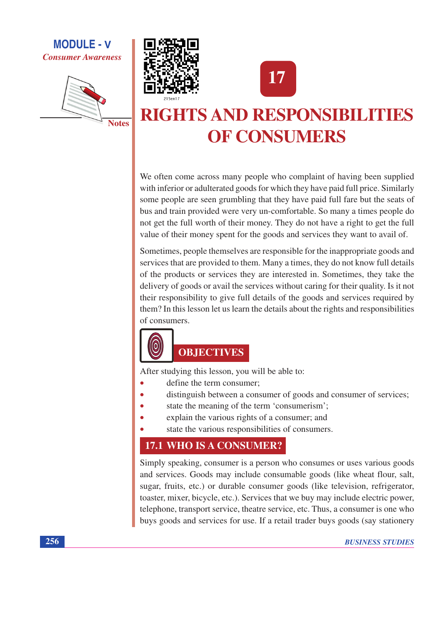







# **RIGHTS AND RESPONSIBILITIES OF CONSUMERS**

We often come across many people who complaint of having been supplied with inferior or adulterated goods for which they have paid full price. Similarly some people are seen grumbling that they have paid full fare but the seats of bus and train provided were very un-comfortable. So many a times people do not get the full worth of their money. They do not have a right to get the full value of their money spent for the goods and services they want to avail of.

Sometimes, people themselves are responsible for the inappropriate goods and services that are provided to them. Many a times, they do not know full details of the products or services they are interested in. Sometimes, they take the delivery of goods or avail the services without caring for their quality. Is it not their responsibility to give full details of the goods and services required by them? In this lesson let us learn the details about the rights and responsibilities of consumers.



# **OBJECTIVES**

After studying this lesson, you will be able to:

- define the term consumer:
- distinguish between a consumer of goods and consumer of services;
- state the meaning of the term 'consumerism';
- explain the various rights of a consumer; and
- state the various responsibilities of consumers.

### 17.1 WHO IS A CONSUMER?

Simply speaking, consumer is a person who consumes or uses various goods and services. Goods may include consumable goods (like wheat flour, salt, sugar, fruits, etc.) or durable consumer goods (like television, refrigerator, toaster, mixer, bicycle, etc.). Services that we buy may include electric power, telephone, transport service, theatre service, etc. Thus, a consumer is one who buys goods and services for use. If a retail trader buys goods (say stationery

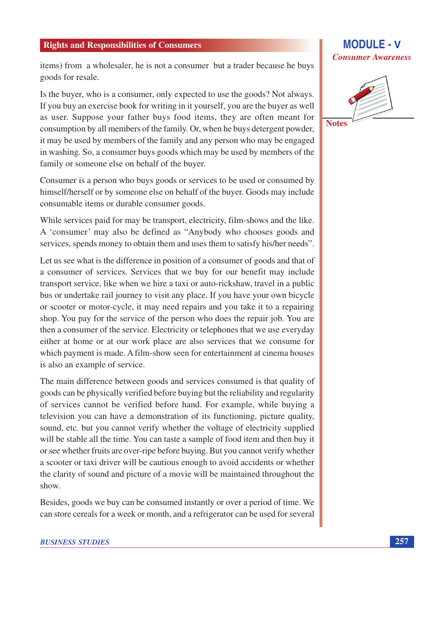items) from a wholesaler, he is not a consumer but a trader because he buys goods for resale.

Is the buyer, who is a consumer, only expected to use the goods? Not always. If you buy an exercise book for writing in it yourself, you are the buyer as well as user. Suppose your father buys food items, they are often meant for consumption by all members of the family. Or, when he buys detergent powder, it may be used by members of the family and any person who may be engaged in washing. So, a consumer buys goods which may be used by members of the family or someone else on behalf of the buyer.

Consumer is a person who buys goods or services to be used or consumed by himself/herself or by someone else on behalf of the buyer. Goods may include consumable items or durable consumer goods.

While services paid for may be transport, electricity, film-shows and the like. A 'consumer' may also be defined as "Anybody who chooses goods and services, spends money to obtain them and uses them to satisfy his/her needs".

Let us see what is the difference in position of a consumer of goods and that of a consumer of services. Services that we buy for our benefit may include transport service, like when we hire a taxi or auto-rickshaw, travel in a public bus or undertake rail journey to visit any place. If you have your own bicycle or scooter or motor-cycle, it may need repairs and you take it to a repairing shop. You pay for the service of the person who does the repair job. You are then a consumer of the service. Electricity or telephones that we use everyday either at home or at our work place are also services that we consume for which payment is made. A film-show seen for entertainment at cinema houses is also an example of service.

The main difference between goods and services consumed is that quality of goods can be physically verified before buying but the reliability and regularity of services cannot be verified before hand. For example, while buying a television you can have a demonstration of its functioning, picture quality, sound, etc. but you cannot verify whether the voltage of electricity supplied will be stable all the time. You can taste a sample of food item and then buy it or see whether fruits are over-ripe before buying. But you cannot verify whether a scooter or taxi driver will be cautious enough to avoid accidents or whether the clarity of sound and picture of a movie will be maintained throughout the show.

Besides, goods we buy can be consumed instantly or over a period of time. We can store cereals for a week or month, and a refrigerator can be used for several

### **BUSINESS STUDIES**

### **MODULE - V Consumer Awareness**

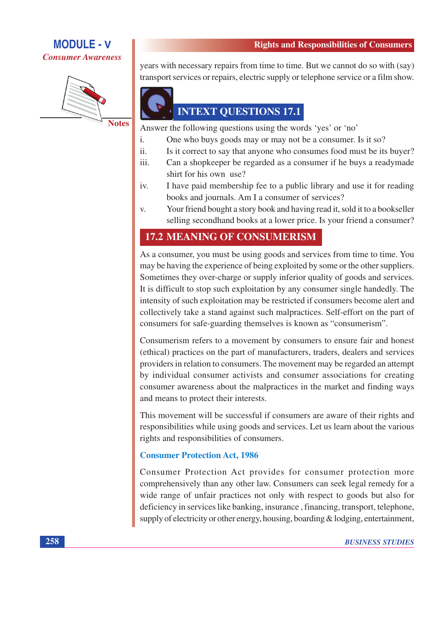



**Notes** 

**Rights and Responsibilities of Consumers** 

years with necessary repairs from time to time. But we cannot do so with (say) transport services or repairs, electric supply or telephone service or a film show.



**INTEXT QUESTIONS 17.1** 

Answer the following questions using the words 'yes' or 'no'

- $\mathbf{i}$ . One who buys goods may or may not be a consumer. Is it so?
- Is it correct to say that anyone who consumes food must be its buyer? ii.
- $iii$ Can a shopkeeper be regarded as a consumer if he buys a readymade shirt for his own use?
- I have paid membership fee to a public library and use it for reading iv. books and journals. Am I a consumer of services?
- Your friend bought a story book and having read it, sold it to a bookseller V. selling second hand books at a lower price. Is your friend a consumer?

# **17.2 MEANING OF CONSUMERISM**

As a consumer, you must be using goods and services from time to time. You may be having the experience of being exploited by some or the other suppliers. Sometimes they over-charge or supply inferior quality of goods and services. It is difficult to stop such exploitation by any consumer single handedly. The intensity of such exploitation may be restricted if consumers become alert and collectively take a stand against such malpractices. Self-effort on the part of consumers for safe-guarding themselves is known as "consumerism".

Consumerism refers to a movement by consumers to ensure fair and honest (ethical) practices on the part of manufacturers, traders, dealers and services providers in relation to consumers. The movement may be regarded an attempt by individual consumer activists and consumer associations for creating consumer awareness about the malpractices in the market and finding ways and means to protect their interests.

This movement will be successful if consumers are aware of their rights and responsibilities while using goods and services. Let us learn about the various rights and responsibilities of consumers.

### **Consumer Protection Act, 1986**

Consumer Protection Act provides for consumer protection more comprehensively than any other law. Consumers can seek legal remedy for a wide range of unfair practices not only with respect to goods but also for deficiency in services like banking, insurance, financing, transport, telephone, supply of electricity or other energy, housing, boarding & lodging, entertainment,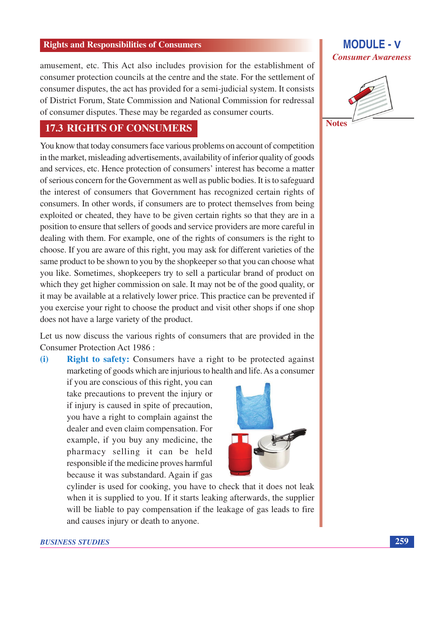amusement, etc. This Act also includes provision for the establishment of consumer protection councils at the centre and the state. For the settlement of consumer disputes, the act has provided for a semi-judicial system. It consists of District Forum, State Commission and National Commission for redressal of consumer disputes. These may be regarded as consumer courts.

### **17.3 RIGHTS OF CONSUMERS**

You know that today consumers face various problems on account of competition in the market, misleading advertisements, availability of inferior quality of goods and services, etc. Hence protection of consumers' interest has become a matter of serious concern for the Government as well as public bodies. It is to safeguard the interest of consumers that Government has recognized certain rights of consumers. In other words, if consumers are to protect themselves from being exploited or cheated, they have to be given certain rights so that they are in a position to ensure that sellers of goods and service providers are more careful in dealing with them. For example, one of the rights of consumers is the right to choose. If you are aware of this right, you may ask for different varieties of the same product to be shown to you by the shopkeeper so that you can choose what you like. Sometimes, shopkeepers try to sell a particular brand of product on which they get higher commission on sale. It may not be of the good quality, or it may be available at a relatively lower price. This practice can be prevented if you exercise your right to choose the product and visit other shops if one shop does not have a large variety of the product.

Let us now discuss the various rights of consumers that are provided in the Consumer Protection Act 1986:

**Right to safety:** Consumers have a right to be protected against  $(i)$ marketing of goods which are injurious to health and life. As a consumer

if you are conscious of this right, you can take precautions to prevent the injury or if injury is caused in spite of precaution, you have a right to complain against the dealer and even claim compensation. For example, if you buy any medicine, the pharmacy selling it can be held responsible if the medicine proves harmful because it was substandard. Again if gas



cylinder is used for cooking, you have to check that it does not leak when it is supplied to you. If it starts leaking afterwards, the supplier will be liable to pay compensation if the leakage of gas leads to fire and causes injury or death to anyone.





259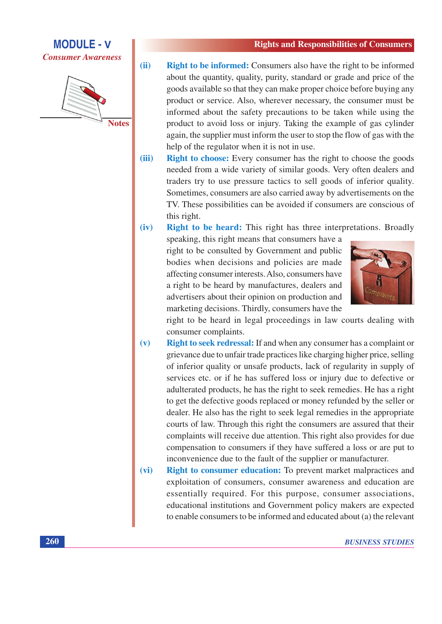**MODULE - V Consumer Awareness** 



- $(ii)$ **Right to be informed:** Consumers also have the right to be informed about the quantity, quality, purity, standard or grade and price of the goods available so that they can make proper choice before buying any product or service. Also, wherever necessary, the consumer must be informed about the safety precautions to be taken while using the product to avoid loss or injury. Taking the example of gas cylinder again, the supplier must inform the user to stop the flow of gas with the help of the regulator when it is not in use.
- **Right to choose:** Every consumer has the right to choose the goods  $(iii)$ needed from a wide variety of similar goods. Very often dealers and traders try to use pressure tactics to sell goods of inferior quality. Sometimes, consumers are also carried away by advertisements on the TV. These possibilities can be avoided if consumers are conscious of this right.

 $(iv)$ Right to be heard: This right has three interpretations. Broadly

speaking, this right means that consumers have a right to be consulted by Government and public bodies when decisions and policies are made affecting consumer interests. Also, consumers have a right to be heard by manufactures, dealers and advertisers about their opinion on production and marketing decisions. Thirdly, consumers have the



right to be heard in legal proceedings in law courts dealing with consumer complaints.

- **Right to seek redressal:** If and when any consumer has a complaint or  $(v)$ grievance due to unfair trade practices like charging higher price, selling of inferior quality or unsafe products, lack of regularity in supply of services etc. or if he has suffered loss or injury due to defective or adulterated products, he has the right to seek remedies. He has a right to get the defective goods replaced or money refunded by the seller or dealer. He also has the right to seek legal remedies in the appropriate courts of law. Through this right the consumers are assured that their complaints will receive due attention. This right also provides for due compensation to consumers if they have suffered a loss or are put to inconvenience due to the fault of the supplier or manufacturer.
- **Right to consumer education:** To prevent market malpractices and  $(vi)$ exploitation of consumers, consumer awareness and education are essentially required. For this purpose, consumer associations, educational institutions and Government policy makers are expected to enable consumers to be informed and educated about (a) the relevant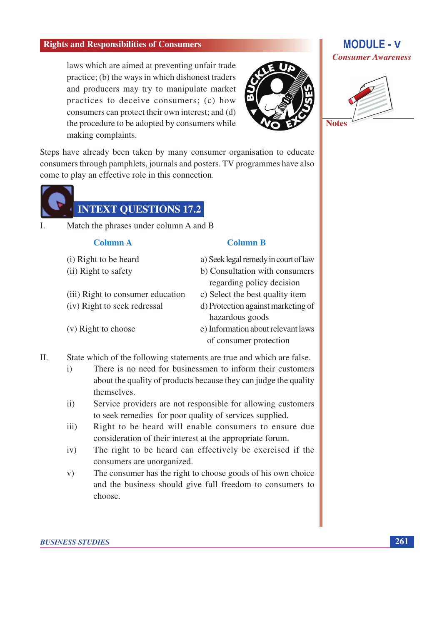laws which are aimed at preventing unfair trade practice; (b) the ways in which dishonest traders and producers may try to manipulate market practices to deceive consumers; (c) how consumers can protect their own interest; and (d) the procedure to be adopted by consumers while making complaints.



Steps have already been taken by many consumer organisation to educate consumers through pamphlets, journals and posters. TV programmes have also come to play an effective role in this connection.



Match the phrases under column A and B  $\mathbf{I}$ .

#### **Column A**

- (i) Right to be heard
- (ii) Right to safety
- (iii) Right to consumer education
- (iv) Right to seek redressal
- (v) Right to choose

### **Column B**

- a) Seek legal remedy in court of law
- b) Consultation with consumers regarding policy decision
- c) Select the best quality item
- d) Protection against marketing of hazardous goods
- e) Information about relevant laws of consumer protection
- $\Pi$ . State which of the following statements are true and which are false.
	- There is no need for businessmen to inform their customers  $\mathbf{i}$ about the quality of products because they can judge the quality themselves.
	- $\ddot{11})$ Service providers are not responsible for allowing customers to seek remedies for poor quality of services supplied.
	- Right to be heard will enable consumers to ensure due  $iii)$ consideration of their interest at the appropriate forum.
	- The right to be heard can effectively be exercised if the  $iv)$ consumers are unorganized.
	- The consumer has the right to choose goods of his own choice  $V)$ and the business should give full freedom to consumers to choose.

#### **BUSINESS STUDIES**

### **MODULE - V Consumer Awareness**

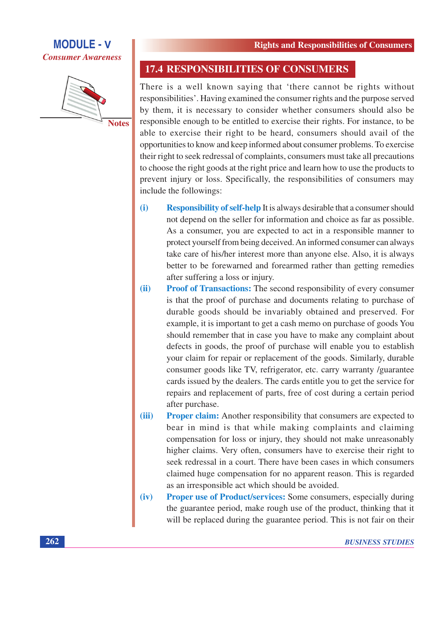





### **17.4 RESPONSIBILITIES OF CONSUMERS**

There is a well known saying that 'there cannot be rights without responsibilities'. Having examined the consumer rights and the purpose served by them, it is necessary to consider whether consumers should also be responsible enough to be entitled to exercise their rights. For instance, to be able to exercise their right to be heard, consumers should avail of the opportunities to know and keep informed about consumer problems. To exercise their right to seek redressal of complaints, consumers must take all precautions to choose the right goods at the right price and learn how to use the products to prevent injury or loss. Specifically, the responsibilities of consumers may include the followings:

- **Responsibility of self-help** It is always desirable that a consumer should  $(i)$ not depend on the seller for information and choice as far as possible. As a consumer, you are expected to act in a responsible manner to protect yourself from being deceived. An informed consumer can always take care of his/her interest more than anyone else. Also, it is always better to be forewarned and forearmed rather than getting remedies after suffering a loss or injury.
- **Proof of Transactions:** The second responsibility of every consumer  $(ii)$ is that the proof of purchase and documents relating to purchase of durable goods should be invariably obtained and preserved. For example, it is important to get a cash memo on purchase of goods You should remember that in case you have to make any complaint about defects in goods, the proof of purchase will enable you to establish your claim for repair or replacement of the goods. Similarly, durable consumer goods like TV, refrigerator, etc. carry warranty /guarantee cards issued by the dealers. The cards entitle you to get the service for repairs and replacement of parts, free of cost during a certain period after purchase.
- **Proper claim:** Another responsibility that consumers are expected to (iii) bear in mind is that while making complaints and claiming compensation for loss or injury, they should not make unreasonably higher claims. Very often, consumers have to exercise their right to seek redressal in a court. There have been cases in which consumers claimed huge compensation for no apparent reason. This is regarded as an irresponsible act which should be avoided.
- **Proper use of Product/services:** Some consumers, especially during  $(iv)$ the guarantee period, make rough use of the product, thinking that it will be replaced during the guarantee period. This is not fair on their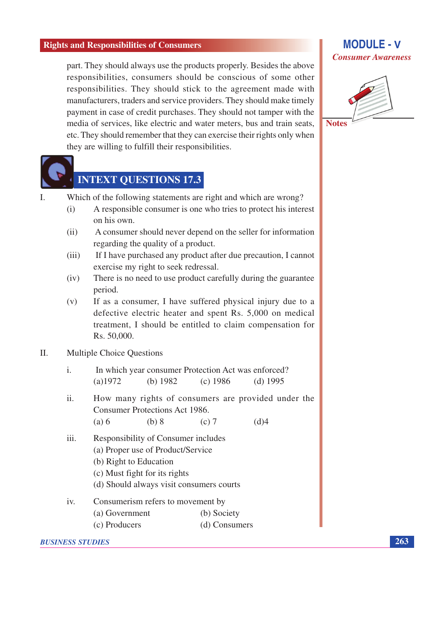part. They should always use the products properly. Besides the above responsibilities, consumers should be conscious of some other responsibilities. They should stick to the agreement made with manufacturers, traders and service providers. They should make timely payment in case of credit purchases. They should not tamper with the media of services, like electric and water meters, bus and train seats, etc. They should remember that they can exercise their rights only when they are willing to fulfill their responsibilities.



# **INTEXT QUESTIONS 17.3**

- Which of the following statements are right and which are wrong?  $\mathbf{I}$ 
	- A responsible consumer is one who tries to protect his interest  $(i)$ on his own.
	- A consumer should never depend on the seller for information  $(ii)$ regarding the quality of a product.
	- If I have purchased any product after due precaution, I cannot  $(iii)$ exercise my right to seek redressal.
	- There is no need to use product carefully during the guarantee  $(iv)$ period.
	- If as a consumer, I have suffered physical injury due to a  $(v)$ defective electric heater and spent Rs. 5,000 on medical treatment, I should be entitled to claim compensation for Rs. 50,000.

#### $\Pi$ . **Multiple Choice Ouestions**

|            |            | In which year consumer Protection Act was enforced? |            |
|------------|------------|-----------------------------------------------------|------------|
| $(a)$ 1972 | (b) $1982$ | (c) $1986$                                          | (d) $1995$ |

- $ii.$ How many rights of consumers are provided under the Consumer Protections Act 1986.
	- $(a) 6$  $(b) 8$  $(d)4$  $(c) 7$
- Responsibility of Consumer includes  $iii.$ (a) Proper use of Product/Service (b) Right to Education
	- (c) Must fight for its rights
	- (d) Should always visit consumers courts
- iv. Consumerism refers to movement by
	- (a) Government (b) Society
	- (c) Producers (d) Consumers

#### **BUSINESS STUDIES**

### **MODULE - V Consumer Awareness**



263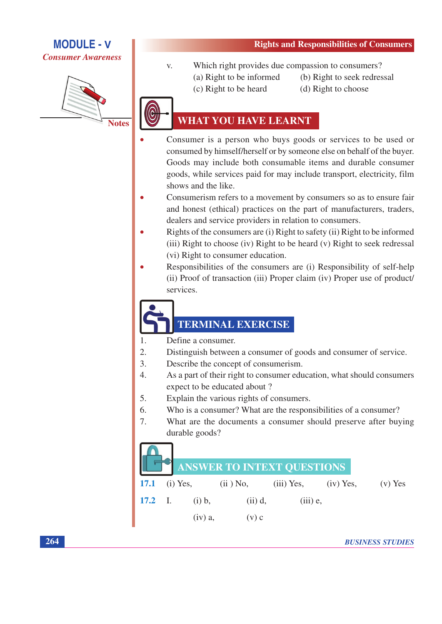



- **Rights and Responsibilities of Consumers**
- Which right provides due compassion to consumers?  $V_{\star}$ 
	- (b) Right to seek redressal
	- (a) Right to be informed (c) Right to be heard
- (d) Right to choose
- 

# **WHAT YOU HAVE LEARNT**

- Consumer is a person who buys goods or services to be used or consumed by himself/herself or by someone else on behalf of the buyer. Goods may include both consumable items and durable consumer goods, while services paid for may include transport, electricity, film shows and the like.
- Consumerism refers to a movement by consumers so as to ensure fair and honest (ethical) practices on the part of manufacturers, traders, dealers and service providers in relation to consumers.
- Rights of the consumers are (i) Right to safety (ii) Right to be informed (iii) Right to choose (iv) Right to be heard (v) Right to seek redressal (vi) Right to consumer education.
- Responsibilities of the consumers are (i) Responsibility of self-help (ii) Proof of transaction (iii) Proper claim (iv) Proper use of product/ services.

# **TERMINAL EXERCISE**

- Define a consumer.  $1<sub>1</sub>$
- $\overline{2}$ . Distinguish between a consumer of goods and consumer of service.
- $3.$ Describe the concept of consumerism.
- $\overline{4}$ . As a part of their right to consumer education, what should consumers expect to be educated about ?
- 5. Explain the various rights of consumers.
- Who is a consumer? What are the responsibilities of a consumer? 6.
- 7. What are the documents a consumer should preserve after buying durable goods?

# $\bigcap$

|  |           | ANSWER TO INTEXT QUESTIONS                                 |            |  |
|--|-----------|------------------------------------------------------------|------------|--|
|  |           | <b>17.1</b> (i) Yes, (ii) No, (iii) Yes, (iv) Yes, (v) Yes |            |  |
|  |           | <b>17.2</b> I. (i) b, (ii) d,                              | $(iii)$ e, |  |
|  | $(iv)$ a, | $(V)$ C                                                    |            |  |